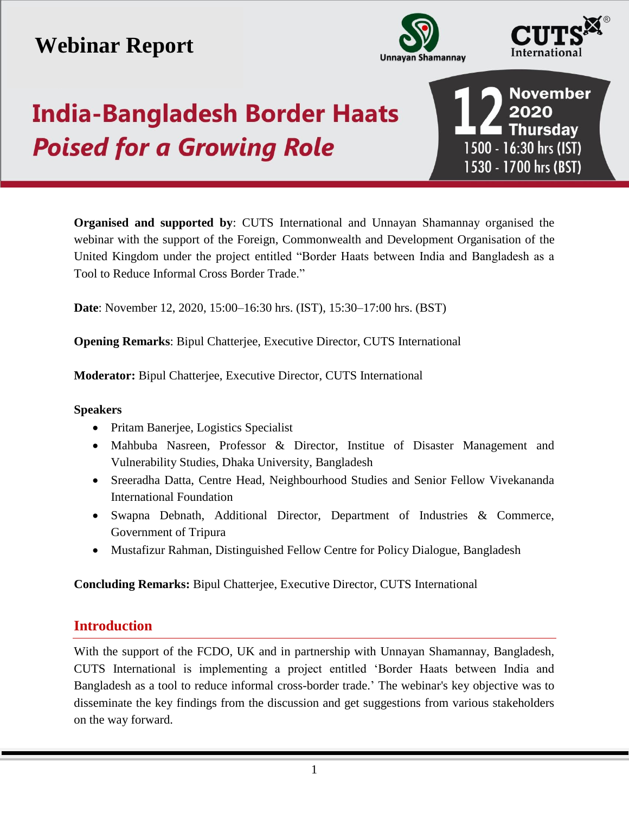# **Webinar Report**





# **India-Bangladesh Border Haats Poised for a Growing Role**

**November** 2020 I Thursday 1500 - 16:30 hrs (IST) 1530 - 1700 hrs (BST)

**Organised and supported by**: CUTS International and Unnayan Shamannay organised the webinar with the support of the Foreign, Commonwealth and Development Organisation of the United Kingdom under the project entitled "Border Haats between India and Bangladesh as a Tool to Reduce Informal Cross Border Trade."

**Date**: November 12, 2020, 15:00–16:30 hrs. (IST), 15:30–17:00 hrs. (BST)

**Opening Remarks**: Bipul Chatterjee, Executive Director, CUTS International

**Moderator:** Bipul Chatterjee, Executive Director, CUTS International

#### **Speakers**

- Pritam Banerjee, Logistics Specialist
- Mahbuba Nasreen, Professor & Director, Institue of Disaster Management and Vulnerability Studies, Dhaka University, Bangladesh
- Sreeradha Datta, Centre Head, Neighbourhood Studies and Senior Fellow Vivekananda International Foundation
- Swapna Debnath, Additional Director, Department of Industries & Commerce, Government of Tripura
- Mustafizur Rahman, Distinguished Fellow Centre for Policy Dialogue, Bangladesh

**Concluding Remarks:** Bipul Chatterjee, Executive Director, CUTS International

# **Introduction**

With the support of the FCDO, UK and in partnership with Unnayan Shamannay, Bangladesh, CUTS International is implementing a project entitled 'Border Haats between India and Bangladesh as a tool to reduce informal cross-border trade.' The webinar's key objective was to disseminate the key findings from the discussion and get suggestions from various stakeholders on the way forward.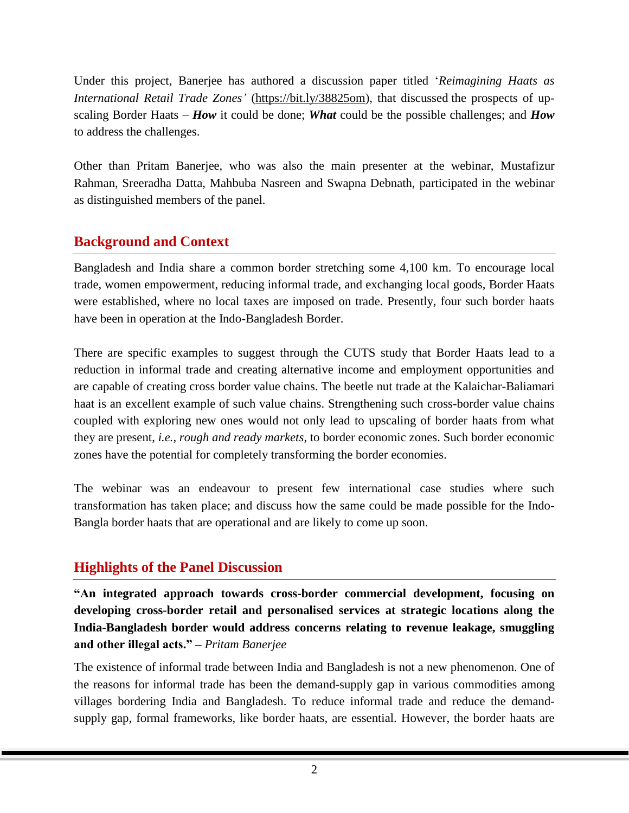Under this project, Banerjee has authored a discussion paper titled '*Reimagining Haats as International Retail Trade Zones'* [\(https://bit.ly/38825om\)](https://bit.ly/38825om), that discussed the prospects of upscaling Border Haats – *How* it could be done; *What* could be the possible challenges; and *How*  to address the challenges.

Other than Pritam Banerjee, who was also the main presenter at the webinar, Mustafizur Rahman, Sreeradha Datta, Mahbuba Nasreen and Swapna Debnath, participated in the webinar as distinguished members of the panel.

# **Background and Context**

Bangladesh and India share a common border stretching some 4,100 km. To encourage local trade, women empowerment, reducing informal trade, and exchanging local goods, Border Haats were established, where no local taxes are imposed on trade. Presently, four such border haats have been in operation at the Indo-Bangladesh Border.

There are specific examples to suggest through the CUTS study that Border Haats lead to a reduction in informal trade and creating alternative income and employment opportunities and are capable of creating cross border value chains. The beetle nut trade at the Kalaichar-Baliamari haat is an excellent example of such value chains. Strengthening such cross-border value chains coupled with exploring new ones would not only lead to upscaling of border haats from what they are present, *i.e., rough and ready markets*, to border economic zones. Such border economic zones have the potential for completely transforming the border economies.

The webinar was an endeavour to present few international case studies where such transformation has taken place; and discuss how the same could be made possible for the Indo-Bangla border haats that are operational and are likely to come up soon.

# **Highlights of the Panel Discussion**

**"An integrated approach towards cross-border commercial development, focusing on developing cross-border retail and personalised services at strategic locations along the India-Bangladesh border would address concerns relating to revenue leakage, smuggling and other illegal acts." –** *Pritam Banerjee*

The existence of informal trade between India and Bangladesh is not a new phenomenon. One of the reasons for informal trade has been the demand-supply gap in various commodities among villages bordering India and Bangladesh. To reduce informal trade and reduce the demandsupply gap, formal frameworks, like border haats, are essential. However, the border haats are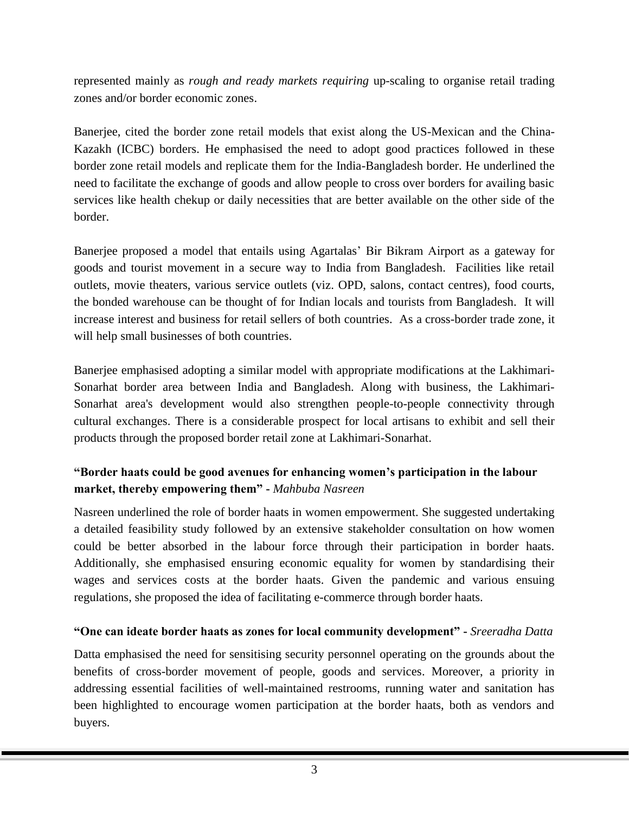represented mainly as *rough and ready markets requiring* up-scaling to organise retail trading zones and/or border economic zones.

Banerjee, cited the border zone retail models that exist along the US-Mexican and the China-Kazakh (ICBC) borders. He emphasised the need to adopt good practices followed in these border zone retail models and replicate them for the India-Bangladesh border. He underlined the need to facilitate the exchange of goods and allow people to cross over borders for availing basic services like health chekup or daily necessities that are better available on the other side of the border.

Banerjee proposed a model that entails using Agartalas' Bir Bikram Airport as a gateway for goods and tourist movement in a secure way to India from Bangladesh. Facilities like retail outlets, movie theaters, various service outlets (viz. OPD, salons, contact centres), food courts, the bonded warehouse can be thought of for Indian locals and tourists from Bangladesh. It will increase interest and business for retail sellers of both countries. As a cross-border trade zone, it will help small businesses of both countries.

Banerjee emphasised adopting a similar model with appropriate modifications at the Lakhimari-Sonarhat border area between India and Bangladesh. Along with business, the Lakhimari-Sonarhat area's development would also strengthen people-to-people connectivity through cultural exchanges. There is a considerable prospect for local artisans to exhibit and sell their products through the proposed border retail zone at Lakhimari-Sonarhat.

#### **"Border haats could be good avenues for enhancing women's participation in the labour market, thereby empowering them" -** *Mahbuba Nasreen*

Nasreen underlined the role of border haats in women empowerment. She suggested undertaking a detailed feasibility study followed by an extensive stakeholder consultation on how women could be better absorbed in the labour force through their participation in border haats. Additionally, she emphasised ensuring economic equality for women by standardising their wages and services costs at the border haats. Given the pandemic and various ensuing regulations, she proposed the idea of facilitating e-commerce through border haats.

#### **"One can ideate border haats as zones for local community development" -** *Sreeradha Datta*

Datta emphasised the need for sensitising security personnel operating on the grounds about the benefits of cross-border movement of people, goods and services. Moreover, a priority in addressing essential facilities of well-maintained restrooms, running water and sanitation has been highlighted to encourage women participation at the border haats, both as vendors and buyers.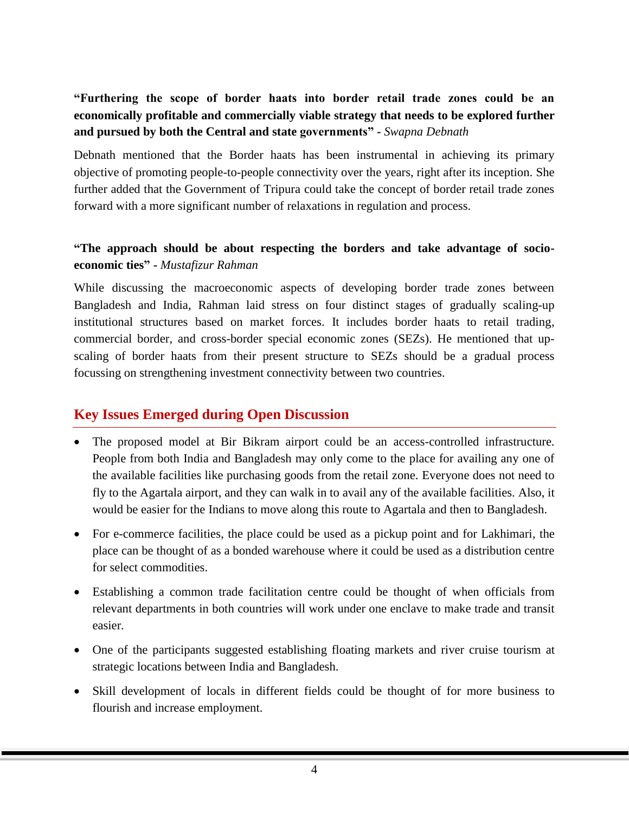# **"Furthering the scope of border haats into border retail trade zones could be an economically profitable and commercially viable strategy that needs to be explored further and pursued by both the Central and state governments" -** *Swapna Debnath*

Debnath mentioned that the Border haats has been instrumental in achieving its primary objective of promoting people-to-people connectivity over the years, right after its inception. She further added that the Government of Tripura could take the concept of border retail trade zones forward with a more significant number of relaxations in regulation and process.

#### **"The approach should be about respecting the borders and take advantage of socioeconomic ties" -** *Mustafizur Rahman*

While discussing the macroeconomic aspects of developing border trade zones between Bangladesh and India, Rahman laid stress on four distinct stages of gradually scaling-up institutional structures based on market forces. It includes border haats to retail trading, commercial border, and cross-border special economic zones (SEZs). He mentioned that upscaling of border haats from their present structure to SEZs should be a gradual process focussing on strengthening investment connectivity between two countries.

## **Key Issues Emerged during Open Discussion**

- The proposed model at Bir Bikram airport could be an access-controlled infrastructure. People from both India and Bangladesh may only come to the place for availing any one of the available facilities like purchasing goods from the retail zone. Everyone does not need to fly to the Agartala airport, and they can walk in to avail any of the available facilities. Also, it would be easier for the Indians to move along this route to Agartala and then to Bangladesh.
- For e-commerce facilities, the place could be used as a pickup point and for Lakhimari, the place can be thought of as a bonded warehouse where it could be used as a distribution centre for select commodities.
- Establishing a common trade facilitation centre could be thought of when officials from relevant departments in both countries will work under one enclave to make trade and transit easier.
- One of the participants suggested establishing floating markets and river cruise tourism at strategic locations between India and Bangladesh.
- Skill development of locals in different fields could be thought of for more business to flourish and increase employment.